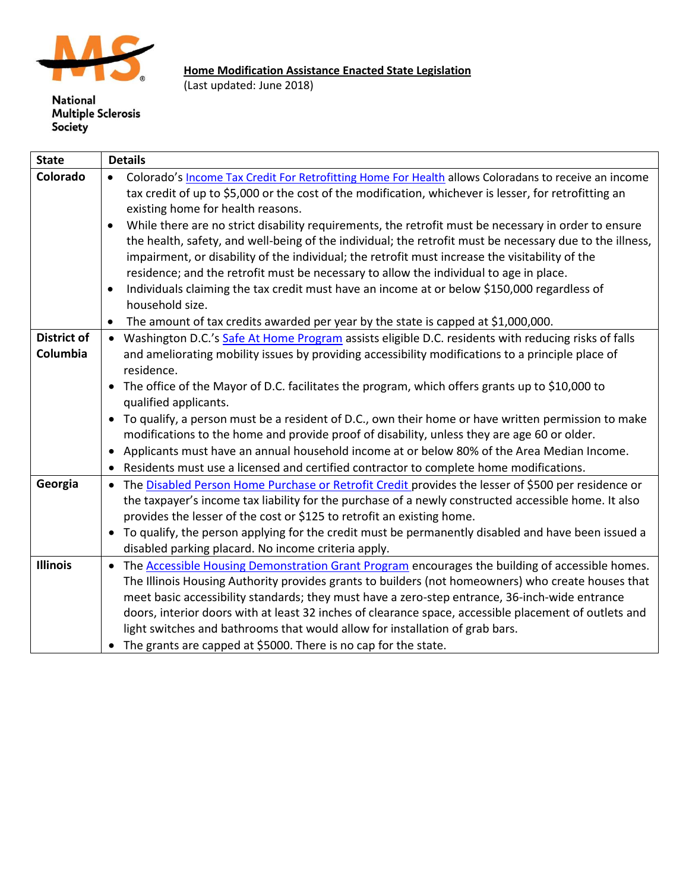

National **Multiple Sclerosis<br>Society** 

## **Home Modification Assistance Enacted State Legislation**

(Last updated: June 2018)

| <b>State</b>       | <b>Details</b>                                                                                                    |
|--------------------|-------------------------------------------------------------------------------------------------------------------|
| Colorado           | Colorado's Income Tax Credit For Retrofitting Home For Health allows Coloradans to receive an income<br>$\bullet$ |
|                    | tax credit of up to \$5,000 or the cost of the modification, whichever is lesser, for retrofitting an             |
|                    | existing home for health reasons.                                                                                 |
|                    | While there are no strict disability requirements, the retrofit must be necessary in order to ensure<br>$\bullet$ |
|                    | the health, safety, and well-being of the individual; the retrofit must be necessary due to the illness,          |
|                    | impairment, or disability of the individual; the retrofit must increase the visitability of the                   |
|                    | residence; and the retrofit must be necessary to allow the individual to age in place.                            |
|                    | Individuals claiming the tax credit must have an income at or below \$150,000 regardless of<br>$\bullet$          |
|                    | household size.                                                                                                   |
|                    | The amount of tax credits awarded per year by the state is capped at \$1,000,000.<br>٠                            |
| <b>District of</b> | • Washington D.C.'s Safe At Home Program assists eligible D.C. residents with reducing risks of falls             |
| Columbia           | and ameliorating mobility issues by providing accessibility modifications to a principle place of                 |
|                    | residence.                                                                                                        |
|                    | The office of the Mayor of D.C. facilitates the program, which offers grants up to \$10,000 to                    |
|                    | qualified applicants.                                                                                             |
|                    | • To qualify, a person must be a resident of D.C., own their home or have written permission to make              |
|                    | modifications to the home and provide proof of disability, unless they are age 60 or older.                       |
|                    | Applicants must have an annual household income at or below 80% of the Area Median Income.<br>$\bullet$           |
|                    | Residents must use a licensed and certified contractor to complete home modifications.                            |
| Georgia            | • The Disabled Person Home Purchase or Retrofit Credit provides the lesser of \$500 per residence or              |
|                    | the taxpayer's income tax liability for the purchase of a newly constructed accessible home. It also              |
|                    | provides the lesser of the cost or \$125 to retrofit an existing home.                                            |
|                    | To qualify, the person applying for the credit must be permanently disabled and have been issued a                |
|                    | disabled parking placard. No income criteria apply.                                                               |
| <b>Illinois</b>    | • The <b>Accessible Housing Demonstration Grant Program</b> encourages the building of accessible homes.          |
|                    | The Illinois Housing Authority provides grants to builders (not homeowners) who create houses that                |
|                    | meet basic accessibility standards; they must have a zero-step entrance, 36-inch-wide entrance                    |
|                    | doors, interior doors with at least 32 inches of clearance space, accessible placement of outlets and             |
|                    | light switches and bathrooms that would allow for installation of grab bars.                                      |
|                    | The grants are capped at \$5000. There is no cap for the state.                                                   |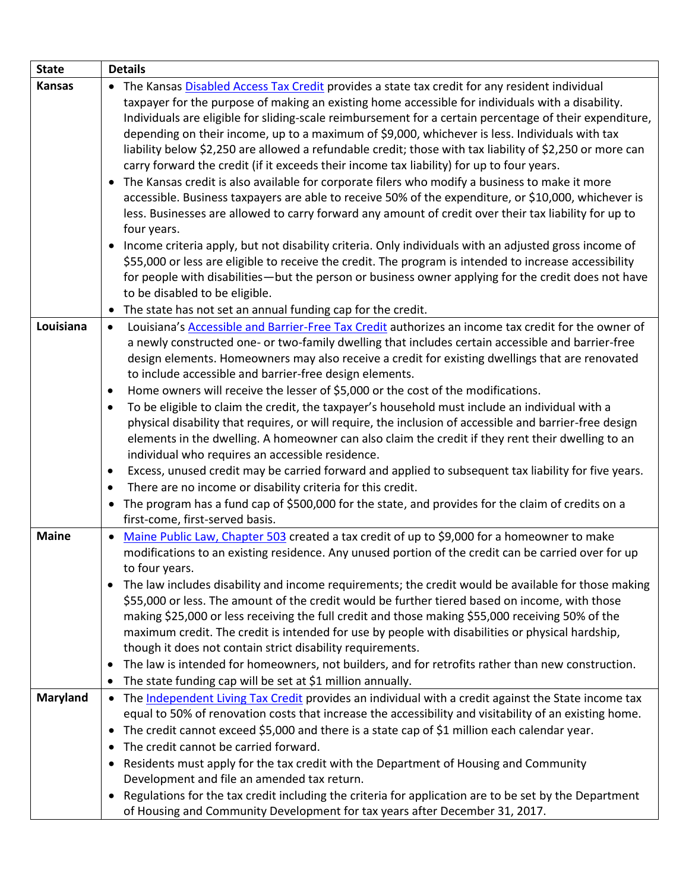| <b>State</b>    | <b>Details</b>                                                                                                     |
|-----------------|--------------------------------------------------------------------------------------------------------------------|
| <b>Kansas</b>   | • The Kansas Disabled Access Tax Credit provides a state tax credit for any resident individual                    |
|                 | taxpayer for the purpose of making an existing home accessible for individuals with a disability.                  |
|                 | Individuals are eligible for sliding-scale reimbursement for a certain percentage of their expenditure,            |
|                 | depending on their income, up to a maximum of \$9,000, whichever is less. Individuals with tax                     |
|                 | liability below \$2,250 are allowed a refundable credit; those with tax liability of \$2,250 or more can           |
|                 | carry forward the credit (if it exceeds their income tax liability) for up to four years.                          |
|                 | The Kansas credit is also available for corporate filers who modify a business to make it more                     |
|                 | accessible. Business taxpayers are able to receive 50% of the expenditure, or \$10,000, whichever is               |
|                 | less. Businesses are allowed to carry forward any amount of credit over their tax liability for up to              |
|                 | four years.                                                                                                        |
|                 | Income criteria apply, but not disability criteria. Only individuals with an adjusted gross income of              |
|                 | \$55,000 or less are eligible to receive the credit. The program is intended to increase accessibility             |
|                 | for people with disabilities-but the person or business owner applying for the credit does not have                |
|                 | to be disabled to be eligible.                                                                                     |
|                 | The state has not set an annual funding cap for the credit.<br>$\bullet$                                           |
| Louisiana       | Louisiana's Accessible and Barrier-Free Tax Credit authorizes an income tax credit for the owner of<br>$\bullet$   |
|                 | a newly constructed one- or two-family dwelling that includes certain accessible and barrier-free                  |
|                 | design elements. Homeowners may also receive a credit for existing dwellings that are renovated                    |
|                 | to include accessible and barrier-free design elements.                                                            |
|                 | Home owners will receive the lesser of \$5,000 or the cost of the modifications.<br>$\bullet$                      |
|                 | To be eligible to claim the credit, the taxpayer's household must include an individual with a<br>$\bullet$        |
|                 | physical disability that requires, or will require, the inclusion of accessible and barrier-free design            |
|                 | elements in the dwelling. A homeowner can also claim the credit if they rent their dwelling to an                  |
|                 | individual who requires an accessible residence.                                                                   |
|                 | Excess, unused credit may be carried forward and applied to subsequent tax liability for five years.<br>$\bullet$  |
|                 | There are no income or disability criteria for this credit.<br>٠                                                   |
|                 | The program has a fund cap of \$500,000 for the state, and provides for the claim of credits on a<br>$\bullet$     |
|                 | first-come, first-served basis.                                                                                    |
| <b>Maine</b>    | Maine Public Law, Chapter 503 created a tax credit of up to \$9,000 for a homeowner to make<br>$\bullet$           |
|                 | modifications to an existing residence. Any unused portion of the credit can be carried over for up                |
|                 | to four years.                                                                                                     |
|                 | The law includes disability and income requirements; the credit would be available for those making<br>$\bullet$   |
|                 | \$55,000 or less. The amount of the credit would be further tiered based on income, with those                     |
|                 | making \$25,000 or less receiving the full credit and those making \$55,000 receiving 50% of the                   |
|                 | maximum credit. The credit is intended for use by people with disabilities or physical hardship,                   |
|                 | though it does not contain strict disability requirements.                                                         |
|                 | The law is intended for homeowners, not builders, and for retrofits rather than new construction.<br>$\bullet$     |
|                 | The state funding cap will be set at \$1 million annually.<br>$\bullet$                                            |
| <b>Maryland</b> | The Independent Living Tax Credit provides an individual with a credit against the State income tax<br>$\bullet$   |
|                 | equal to 50% of renovation costs that increase the accessibility and visitability of an existing home.             |
|                 | The credit cannot exceed \$5,000 and there is a state cap of \$1 million each calendar year.<br>$\bullet$          |
|                 | The credit cannot be carried forward.<br>$\bullet$                                                                 |
|                 | Residents must apply for the tax credit with the Department of Housing and Community<br>$\bullet$                  |
|                 | Development and file an amended tax return.                                                                        |
|                 | Regulations for the tax credit including the criteria for application are to be set by the Department<br>$\bullet$ |
|                 | of Housing and Community Development for tax years after December 31, 2017.                                        |